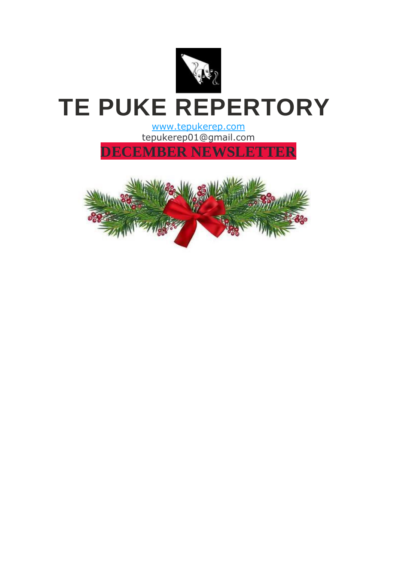

## **TE PUKE REPERTORY**

[www.tepukerep.com](https://shoutout.wix.com/so/58NrAtB3A/c?w=yK2___CwMgBWB75Tuuu5K046KlhZ6G0aZzeQDXxn0mE.eyJ1IjoiaHR0cHM6Ly93d3cudGVwdWtlcmVwLmNvbSIsInIiOiI0NzBhNzBjZi03NmRiLTQ4ZDMtYWRiYS03NWI0YWU3OGIxZjEiLCJtIjoibWFpbF9scCIsImMiOiJjMmIzOGRhOC1jM2Y5LTQ5MzYtYTE2Ni0yZjE5MWJkNjk2NDAifQ) tepukerep01@gmail.com

**DECEMBER NEWSLETTER**

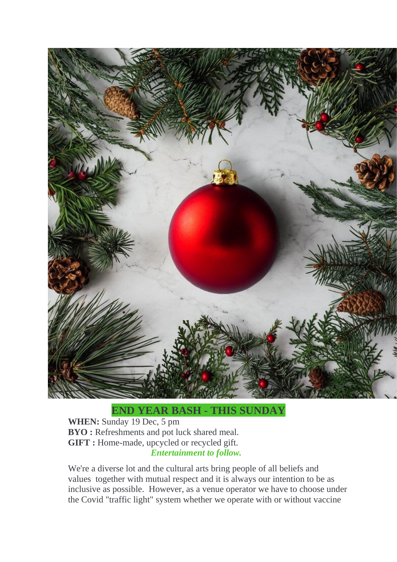

## **END YEAR BASH - THIS SUNDAY**

**WHEN:** Sunday 19 Dec, 5 pm **BYO :** Refreshments and pot luck shared meal. **GIFT :** Home-made, upcycled or recycled gift. *Entertainment to follow.*

We're a diverse lot and the cultural arts bring people of all beliefs and values together with mutual respect and it is always our intention to be as inclusive as possible. However, as a venue operator we have to choose under the Covid "traffic light" system whether we operate with or without vaccine